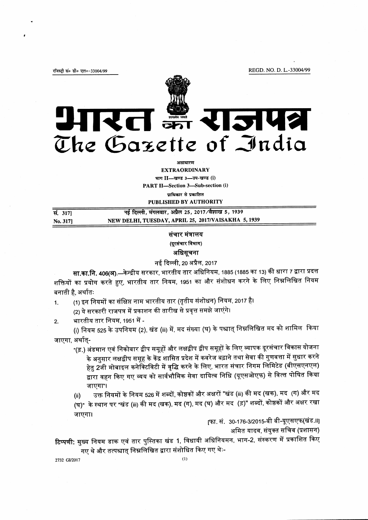REGD. NO. D. L.-33004/99

रजिस्ट्री सं० डी० एल०-33004/99



रत क्रा राजपत्र The Gazette of India

> अमाधारण **EXTRAORDINARY** भाग II-खण्ड 3-उप-खण्ड (i) **PART II-Section 3-Sub-section (i)** प्राधिकार से प्रकाशित

PUBLISHED BY AUTHORITY

| सं. 3171 | नई दिल्ली, मंगलवार, अप्रैल 25, 2017/वैशाख 5, 1939   |  |
|----------|-----------------------------------------------------|--|
| No. 3171 | NEW DELHI, TUESDAY, APRIL 25, 2017/VAISAKHA 5, 1939 |  |

## संचार मंत्रालय (दूरसंचार विभाग) अधिसूचना

नई दिल्ली, 20 अप्रैल, 2017

सा.का.नि. 406(अ).—केन्द्रीय सरकार, भारतीय तार अधिनियम, 1885 (1885 का 13) की धारा 7 द्वारा प्रदत्त शक्तियों का प्रयोग करते हुए, भारतीय तार नियम, 1951 का और संशोधन करने के लिए निम्नलिखित नियम बनाती है, अर्थातः

(1) इन नियमों का संक्षिप्त नाम भारतीय तार (तृतीय संशोधन) नियम, 2017 है।

(2) ये सरकारी राजपत्र में प्रकाशन की तारीख से प्रवृत्त समझे जाएंगे।

भारतीय तार नियम, 1951 में - $2.$ 

(i) नियम 525 के उपनियम (2), खंड (iii) में, मद संख्या (घ) के पश्चात् निम्नलिखित मद को शामिल किया जाएगा, अर्थात्-

- "(ड़.) अंडमान एवं निकोबार द्वीप समूहों और लक्षद्वीप द्वीप समूहों के लिए व्यापक दूरसंचार विकास योजना के अनुसार लक्षद्वीप समूह के केंद्र शासित प्रदेश में कवरेज बढ़ाने तथा सेवा की गुणवत्ता में सुधार करने हेतु 2जी मोबाइल कनेक्टिविटी में वृद्धि करने के लिए, भारत संचार निगम लिमिटेड (बीएसएनएल) द्वारा वहन किए गए व्यय को सार्वभौमिक सेवा दायित्व निधि (यूएसओएफ) से वित्त पोषित किया जाएगा"।
- उक्त नियमों के नियम 526 में शब्दों, कोष्ठकों और अक्षरों "खंड (iii) की मद (खक), मद (ग) और मद  $(ii)$ (घ)" के स्थान पर "खंड (iii) की मद (खक), मद (ग), मद (घ) और मद (ड़)" शब्दों, कोष्ठकों और अक्षर रखा जाएगा।

[फा. सं. 30-176-3/2015-बी बी-यूएसएफ(खंड.॥]

अमित यादव, संयुक्त सचिव (प्रशासन)

टिप्पणी: मुख्य नियम डाक एवं तार पुस्तिका खंड 1, विधायी अधिनियमन, भाग-2, संस्करण में प्रकाशित किए गए थे और तत्पश्चात् निम्नलिखित द्वारा संशोधित किए गए थेः-

2732 GI/2017

 $1.$ 

 $(1)$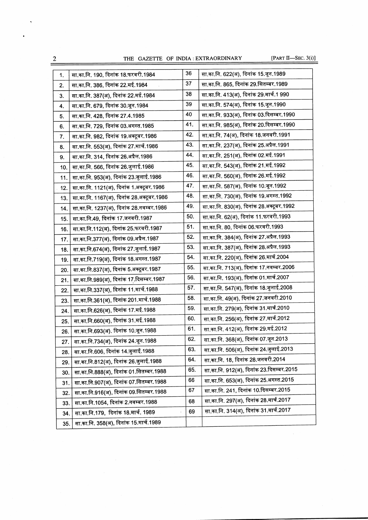THE GAZETTE OF INDIA : EXTRAORDINARY [PART II-SEC. 3(i)]

 $\frac{1}{2}$ 

 $\hat{\mathcal{A}}$ 

| 1.  | सा.का.नि. 190, दिनांक 18.फरवरी.1984       | 36  | सा.का.नि. 622(अ), दिनांक 15.जून.1989     |
|-----|-------------------------------------------|-----|------------------------------------------|
| 2.  | सा.का.नि. 386, दिनांक 22.मई.1984          | 37  | सा.का.नि. 865, दिनांक 29.सितम्बर.1989    |
| 3.  | सा.का.नि. 387(अ), दिनांक 22.मई.1984       | 38  | सा.का.नि. 413(अ), दिनांक 29.मार्च.1 990  |
| 4.  | सा.का.नि. 679, दिनांक 30.जून.1984         | 39  | सा.का.नि. 574(अ), दिनांक 15.जून.1990     |
| 5.  | सा.का.नि. 428, दिनांक 27.4.1985           | 40  | सा.का.नि. 933(अ), दिनांक 03.दिसम्बर.1990 |
| 6.  | सा.का.नि. 729, दिनांक 03.अगस्त.1985       | 41. | सा.का.नि. 985(अ), दिनांक 20.दिसम्बर.1990 |
| 7.  | सा.का.नि. 982, दिनांक 19.अक्टूबर.1986     | 42. | सा.का.नि. 74(अ), दिनांक 18.जनवरी.1991    |
| 8.  | सा.का.नि. 553(अ), दिनांक 27.मार्च.1986    | 43. | सा.का.नि. 237(अ), दिनांक 25.अप्रैल.1991  |
| 9.  | सा.का.नि. 314, दिनांक 26.अप्रैल.1986      | 44. | सा.का.नि. 251(अ), दिनांक 02.मई.1991      |
| 10. | सा.का.नि. 566, दिनांक 26.जुलाई.1986       | 45. | सा.का.नि. 543(अ), दिनांक 21.मई.1992      |
| 11. | सा.का.नि. 953(अ), दिनांक 23.जुलाई.1986    | 46. | सा.का.नि. 560(अ), दिनांक 26.मई.1992      |
| 12. | सा.का.नि. 1121(अ), दिनांक 1.अक्टूबर.1986  | 47. | सा.का.नि. 587(अ), दिनांक 10.जून.1992     |
| 13. | सा.का.नि. 1167(अ), दिनांक 28.अक्टूबर.1986 | 48. | सा.का.नि. 730(अ), दिनांक 19.अगस्त.1992   |
| 14. | सा.का.नि. 1237(अ), दिनांक 28.नवम्बर.1986  | 49. | सा.का.नि. 830(अ), दिनांक 28.अक्टूबर.1992 |
| 15. | सा.का.नि.49, दिनांक 17.जनवरी.1987         | 50. | सा.का.नि. 62(अ), दिनांक 11.फरवरी.1993    |
| 16. | सा.का.नि.112(अ), दिनांक 25.फरवरी.1987     | 51. | सा.का.नि. 80, दिनांक 06.फरवरी.1993       |
| 17. | सा.का.नि.377(अ), दिनांक 09.अप्रैल.1987    | 52. | सा.का.नि. 384(अ), दिनांक 27.अप्रैल.1993  |
| 18. | सा.का.नि.674(अ), दिनांक 27.जुलाई.1987     | 53. | सा.का.नि. 387(अ), दिनांक 28.अप्रैल.1993  |
| 19. | सा.का.नि.719(अ), दिनांक 18.अगस्त.1987     | 54. | सा.का.नि. 220(अ), दिनांक 26.मार्च.2004   |
| 20. | सा.का.नि.837(अ), दिनांक 5.अक्टूबर.1987    | 55. | सा.का.नि. 713(अ), दिनांक 17.नवम्बर.2006  |
| 21. | सा.का.नि.989(अ), दिनांक 17.दिसम्बर.1987   | 56. | सा.का.नि. 193(अ), दिनांक 01.मार्च.2007   |
| 22. | सा.का.नि.337(अ), दिनांक 11.मार्च.1988     | 57. | सा.का.नि. 547(अ), दिनांक 18.जुलाई.2008   |
| 23. | सा.का.नि.361(अ), दिनांक 201.मार्च.1988    | 58. | सा.का.नि. 49(अ), दिनांक 27.जनवरी.2010    |
| 24. | सा.का.नि.626(अ), दिनांक 17.मई.1988        | 59. | सा.का.नि. 279(अ), दिनांक 31.मार्च.2010   |
| 25. | सा.का.नि.660(अ), दिनांक 31.मई.1988        | 60. | सा.का.नि. 256(अ), दिनांक 27.मार्च.2012   |
| 26. | सा.का.नि.693(अ). दिनांक 10.जून.1988       | 61. | सा.का.नि. 412(अ), दिनांक 29.मई.2012      |
| 27. | सा.का.नि.734(अ), दिनांक 24.जून.1988       | 62. | सा.का.नि. 368(अ), दिनांक 07.जून.2013     |
| 28. | सा.का.नि.606, दिनांक 14.जुलाई.1988        | 63. | सा.का.नि. 506(अ), दिनांक 24.जुलाई.2013   |
| 29. | सा.का.नि.812(अ), दिनांक 26.जुलाई.1988     | 64. | सा.का.नि. 18, दिनांक 28.जनवरी.2014       |
| 30. | सा.का.नि.888(अ), दिनांक 01.सितम्बर.1988   | 65. | सा.का.नि. 912(अ), दिनांक 23.दिसम्बर.2015 |
| 31. | सा.का.नि.907(अ), दिनांक 07.सितम्बर.1988   | 66  | सा.का.नि. 653(अ), दिनांक 25.अगस्त.2015   |
| 32. | सा.का.नि.916(अ), दिनांक 09.सितम्बर.1988   | 67  | सा.का.नि. 241, दिनांक 10.दिसम्बर.2015    |
| 33. | सा.का.नि.1054, दिनांक 2.नवम्बर.1988       | 68  | सा.का.नि. 297(अ), दिनांक 28.मार्च.2017   |
| 34. | सा.का.नि.179, दिनांक 18.मार्च. 1989       | 69  | सा.का.नि. 314(अ), दिनांक 31.मार्च.2017   |
| 35. | सा.का.नि. 358(अ), दिनांक 15.मार्च.1989    |     |                                          |

 $\frac{2}{\sqrt{2}}$ 

 $\hat{\mathcal{A}}$ 

 $\ddot{\phantom{1}}$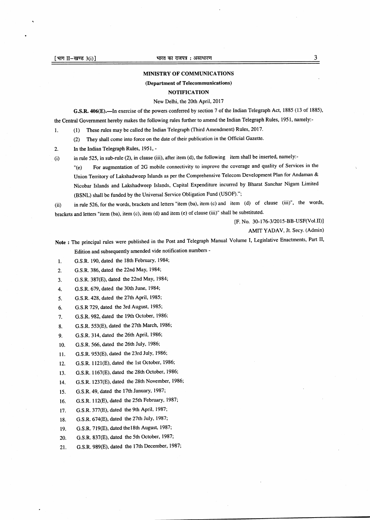## MINISTRY OF COMMUNICATIONS

## (Department of Telecommunications)

## **NOTIFICATION**

New Delhi, the 20th APril,2017

G.S.R. 406(E).—In exercise of the powers conferred by section 7 of the Indian Telegraph Act, 1885 (13 of 1885), the Central Government hereby makes the following rules further to amend the Indian Telegraph Rules, 1951, namely:-

l. (l) These rules may be called the Indian Telegraph (Third Amendment) Rules, 2017.

(2) They shall come into force on the date of their publication in the Official Gazetb.

2. In the Indian Telegraph Rules, 1951, -

(i) in rule 525, in sub-rule (2), in clause (iii), after item (d), the following item shall be inserted, namely:-

'(e) For augmentation of 2G mobile connectivity to improve the coverage and quality of Services in the Union Territory of Lakshadweep Islands as per the Comprehensive Telecom Development Plan for Andaman & Nicobar Islands and Lakshadweep Islands, Capital Expenditure incurred by Bharat Sanchar Nigam Limited (BSNL) shall be funded by the Universal Service Obligation Fund (USOF).";

(ii) in rule 526, for the words, brackets and letters "item (ba), item (c) and item (d) of clause (iii)", the words, brackets and letters "item (ba), item (c), item (d) and item (e) of clause (iii)" shall be substituted.

[F. No. 30-176-3/2015-BB-USF(VoI.II)]

AMIT YADAV, Jt. Secy. (Admin)

Note : The principal rules were published in the Post and Telegraph Manual Volume I, Legislative Enactments, Part II, Edition and subsequently amended vide notification numbers -

G.S.R. 190, dated the 18th February, 1984; 1.

G.S.R. 386, dated the 22nd MaY, 1984;  $\overline{2}$ 

G.S.R. 387(E), dated the 22nd May, 1984; 3.

G.S.R. 679, dated the 30th June, 1984; 4.

G.S.R. 428, dated the 27th April, 1985; 5.

G.S.R 729, dated the 3rd August, 1985; 6.

G.S.R. 982, dated the 19th October, 1986: 7.

G.S.R. 553(E), dated the 27th March, 1986; 8.

- G.S.R. 314, dated the 26th April, 1986;  $9.$
- G.S.R. 566, dated the 26th JulY, 1986; 10.
- G.S.R. 953(E), dated the 23rd July, 1986; 11.

G.S.R. 1121(E), dated the lst October, 1986; 12.

G.S.R. 1167(E), dated the 28th October, 1986; 13.

G.S.R. 1237(E), dated the 28th November, 1986; 14.

G.S.R. 49, dated the 17th January, 1987; 15.

G.S.R. 112(E), dated the 25th February, 1987; 16.

G.S.R. 377(E), dated the 9th April, 1987; 17.

G.S.R. 674(E), dated the 27th July, 1987; 18.

G.S.R. 719(E), dated thelSth August, 1987; 19.

G.S.R. 837(E), dated the 5th October,1987; 20.

G.S.R. 989(E), dated the 17th December, 1987;21.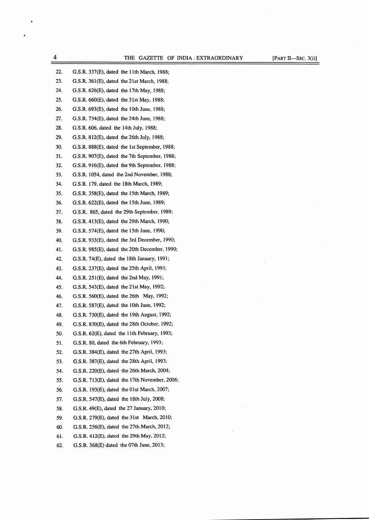THE GAZETTE OF INDIA : EXTRAORDINARY [PART II-SEC. 3(i)]

| 22. | G.S.R. 337(E), dated the 11th March, 1988;       |
|-----|--------------------------------------------------|
| 23. | G.S.R. 361(E), dated the 21st March, 1988;       |
| 24. | G.S.R. 626(E), dated the 17th May, 1988;         |
| 25. | G.S.R. 660(E), dated the 31st May, 1988;         |
| 26. | G.S.R. 693(E), dated the 10th June, 1988;        |
| 27. | G.S.R. 734(E), dated the 24th June, 1988;        |
| 28. | G.S.R. 606, dated the 14th July, 1988;           |
| 29. | G.S.R. 812(E), dated the 26th July, 1988;        |
| 30. | G.S.R. 888(E), dated the 1st September, 1988;    |
| 31. | G.S.R. 907(E), dated the 7th September, 1988;    |
| 32. | G.S.R. 916(E), dated the 9th September, 1988;    |
| 33. | G.S.R. 1054, dated the 2nd November, 1988;       |
| 34. | G.S.R. 179, dated the 18th March, 1989;          |
| 35. | G.S.R. 358(E), dated the 15th March, 1989;       |
| 36. | G.S.R. 622(E), dated the 15th June, 1989;        |
| 37. | G.S.R. 865, dated the 29th September, 1989;      |
| 38. | G.S.R. 413(E), dated the 29th March, 1990;       |
| 39. | G.S.R. 574(E), dated the 15th June, 1990;        |
| 40. | G.S.R. 933(E), dated the 3rd December, 1990;     |
| 41. | G.S.R. $985(E)$ , dated the 20th December, 1990; |
| 42. | $G.S.R. 74(E)$ , dated the 18th January, 1991;   |
| 43. | G.S.R. 237(E), dated the 25th April, 1991;       |
| 44. | G.S.R. 251(E), dated the 2nd May, 1991;          |
| 45. | G.S.R. 543(E), dated the 21st May, 1992;         |
| 46. | G.S.R. 560(E), dated the 26th May, 1992;         |
| 47. | G.S.R. 587(E), dated the 10th June, 1992;        |
| 48. | G.S.R. 730(E), dated the 19th August, 1992;      |
| 49. | G.S.R. 830(E), dated the 28th October, 1992;     |
| 50. | G.S.R. $62(E)$ , dated the 11th February, 1993;  |
| 51. | G.S.R. 80, dated the 6th February, 1993;         |
| 52. | G.S.R. 384(E), dated the 27th April, 1993;       |
| 53. | G.S.R. 387(E), dated the 28th April, 1993;       |
| 54. | G.S.R. 220(E), dated the 26th March, 2004;       |
| 55. | G.S.R. 713(E), dated the 17th November, 2006;    |
| 56. | G.S.R. 193(E), dated the 01st March, 2007;       |
| 57. | G.S.R. $547(E)$ , dated the 18th July, 2008;     |
| 58. | G.S.R. $49(E)$ , dated the 27 January, 2010;     |
| 59. | G.S.R. $279(E)$ , dated the 31st March, 2010;    |
| 60. | G.S.R. 256(E), dated the 27th March, 2012;       |
| 61. | G.S.R. 412(E), dated the 29th May, 2012;         |
| 62. | G.S.R. 368(E) dated the 07th June, 2013;         |

 $\frac{4}{1}$